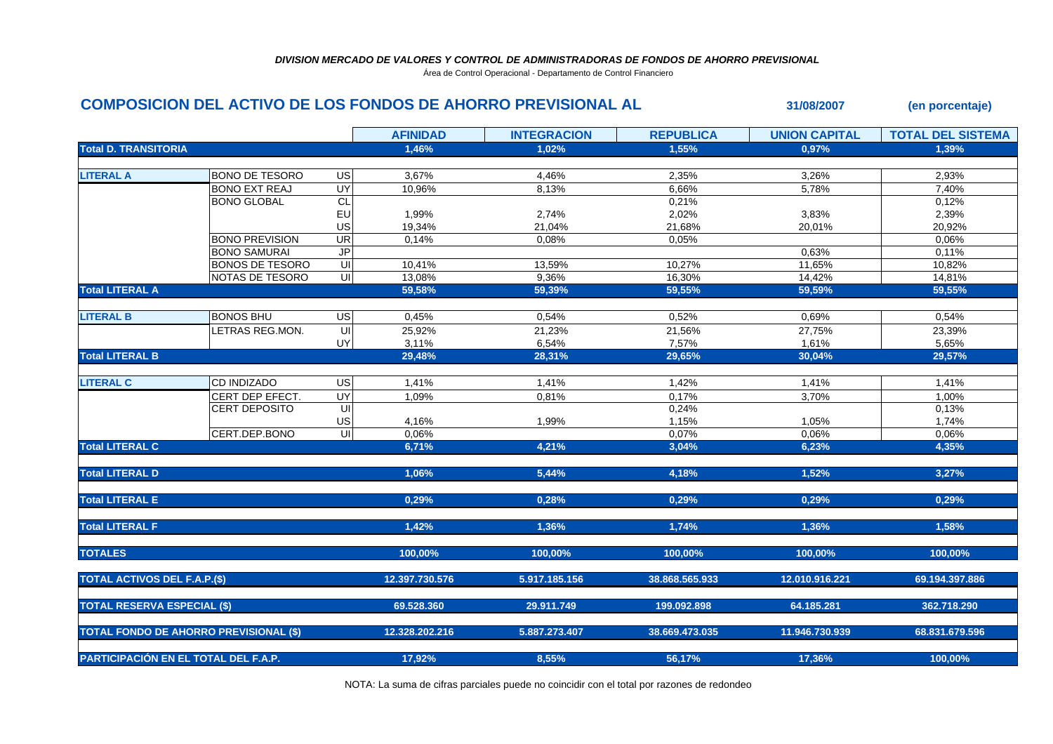Área de Control Operacional - Departamento de Control Financiero

## **COMPOSICION DEL ACTIVO DE LOS FONDOS DE AHORRO PREVISIONAL AL 31/08/2007 (en porcentaje)**

|                                               |                        |                         | <b>AFINIDAD</b> | <b>INTEGRACION</b> | <b>REPUBLICA</b> | <b>UNION CAPITAL</b> | <b>TOTAL DEL SISTEMA</b> |
|-----------------------------------------------|------------------------|-------------------------|-----------------|--------------------|------------------|----------------------|--------------------------|
| <b>Total D. TRANSITORIA</b>                   |                        |                         | 1,46%           | 1.02%              | 1,55%            | 0,97%                | 1,39%                    |
|                                               |                        |                         |                 |                    |                  |                      |                          |
| <b>LITERAL A</b>                              | BONO DE TESORO         | <b>US</b>               | 3,67%           | 4,46%              | 2,35%            | 3,26%                | 2,93%                    |
|                                               | <b>BONO EXT REAJ</b>   | <b>UY</b>               | 10,96%          | 8,13%              | 6,66%            | 5,78%                | 7,40%                    |
|                                               | <b>BONO GLOBAL</b>     | CL                      |                 |                    | 0,21%            |                      | 0,12%                    |
|                                               |                        | EU                      | 1,99%           | 2,74%              | 2,02%            | 3,83%                | 2,39%                    |
|                                               |                        | US                      | 19,34%          | 21,04%             | 21,68%           | 20,01%               | 20,92%                   |
|                                               | <b>BONO PREVISION</b>  | UR                      | 0,14%           | 0,08%              | 0,05%            |                      | 0,06%                    |
|                                               | <b>BONO SAMURAI</b>    | JP                      |                 |                    |                  | 0,63%                | 0,11%                    |
|                                               | <b>BONOS DE TESORO</b> | UI                      | 10,41%          | 13,59%             | 10,27%           | 11,65%               | 10,82%                   |
|                                               | NOTAS DE TESORO        | $\overline{\mathsf{c}}$ | 13,08%          | 9,36%              | 16,30%           | 14,42%               | 14,81%                   |
| <b>Total LITERAL A</b>                        |                        |                         | 59,58%          | 59,39%             | 59,55%           | 59,59%               | 59,55%                   |
|                                               |                        |                         |                 |                    |                  |                      |                          |
| <b>LITERAL B</b>                              | <b>BONOS BHU</b>       | US                      | 0,45%           | 0,54%              | 0,52%            | 0,69%                | 0,54%                    |
|                                               | LETRAS REG.MON.        | $\overline{\mathsf{U}}$ | 25,92%          | 21,23%             | 21,56%           | 27,75%               | 23,39%                   |
|                                               |                        | UY                      | 3,11%           | 6,54%              | 7,57%            | 1,61%                | 5,65%                    |
| <b>Total LITERAL B</b>                        |                        |                         | 29,48%          | 28,31%             | 29,65%           | 30,04%               | 29,57%                   |
|                                               |                        |                         |                 |                    |                  |                      |                          |
| <b>LITERAL C</b>                              | <b>CD INDIZADO</b>     | <b>US</b>               | 1,41%           | 1,41%              | 1,42%            | 1,41%                | 1,41%                    |
|                                               | CERT DEP EFECT.        | UY                      | 1,09%           | 0,81%              | 0,17%            | 3,70%                | 1,00%                    |
|                                               | <b>CERT DEPOSITO</b>   | $\overline{\mathsf{U}}$ |                 |                    | 0,24%            |                      | 0,13%                    |
|                                               |                        | US                      | 4,16%           | 1,99%              | 1,15%            | 1,05%                | 1,74%                    |
|                                               | CERT.DEP.BONO          | UI                      | 0,06%           |                    | 0,07%            | 0,06%                | 0,06%                    |
| <b>Total LITERAL C</b>                        |                        |                         | 6,71%           | 4,21%              | 3,04%            | 6,23%                | 4,35%                    |
|                                               |                        |                         |                 |                    |                  |                      |                          |
| <b>Total LITERAL D</b>                        |                        |                         | 1,06%           | 5,44%              | 4,18%            | 1,52%                | 3,27%                    |
|                                               |                        |                         |                 |                    |                  |                      |                          |
| <b>Total LITERAL E</b>                        |                        |                         | 0,29%           | 0,28%              | 0,29%            | 0,29%                | 0,29%                    |
|                                               |                        |                         |                 |                    |                  |                      |                          |
| <b>Total LITERAL F</b>                        |                        |                         | 1,42%           | 1,36%              | 1.74%            | 1,36%                | 1,58%                    |
|                                               |                        |                         |                 |                    |                  |                      |                          |
| <b>TOTALES</b>                                |                        |                         | 100,00%         | 100,00%            | 100,00%          | 100,00%              | 100,00%                  |
|                                               |                        |                         |                 |                    |                  |                      |                          |
| <b>TOTAL ACTIVOS DEL F.A.P.(\$)</b>           |                        |                         | 12.397.730.576  | 5.917.185.156      | 38.868.565.933   | 12.010.916.221       | 69.194.397.886           |
|                                               |                        |                         |                 |                    |                  |                      |                          |
| <b>TOTAL RESERVA ESPECIAL (\$)</b>            |                        |                         | 69.528.360      | 29.911.749         | 199.092.898      | 64.185.281           | 362.718.290              |
|                                               |                        |                         |                 |                    |                  |                      |                          |
| <b>TOTAL FONDO DE AHORRO PREVISIONAL (\$)</b> |                        |                         | 12.328.202.216  | 5.887.273.407      | 38.669.473.035   | 11.946.730.939       | 68.831.679.596           |
|                                               |                        |                         |                 |                    |                  |                      |                          |
| PARTICIPACIÓN EN EL TOTAL DEL F.A.P.          |                        |                         | 17,92%          | 8,55%              | 56,17%           | 17,36%               | 100,00%                  |
|                                               |                        |                         |                 |                    |                  |                      |                          |

NOTA: La suma de cifras parciales puede no coincidir con el total por razones de redondeo